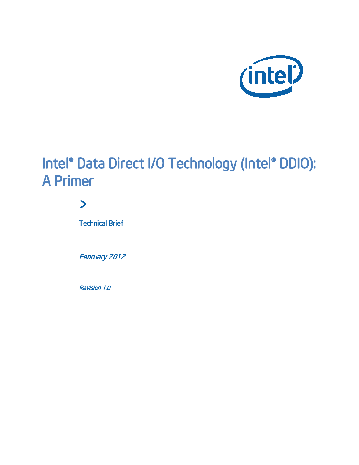

## Intel® Data Direct I/O Technology (Intel® DDIO): A Primer

>

Technical Brief

February 2012

Revision 1.0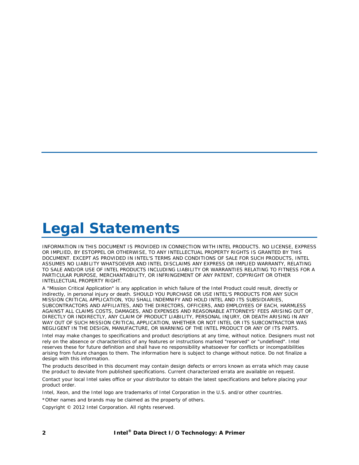## **Legal Statements**

INFORMATION IN THIS DOCUMENT IS PROVIDED IN CONNECTION WITH INTEL PRODUCTS. NO LICENSE, EXPRESS OR IMPLIED, BY ESTOPPEL OR OTHERWISE, TO ANY INTELLECTUAL PROPERTY RIGHTS IS GRANTED BY THIS DOCUMENT. EXCEPT AS PROVIDED IN INTEL'S TERMS AND CONDITIONS OF SALE FOR SUCH PRODUCTS, INTEL ASSUMES NO LIABILITY WHATSOEVER AND INTEL DISCLAIMS ANY EXPRESS OR IMPLIED WARRANTY, RELATING TO SALE AND/OR USE OF INTEL PRODUCTS INCLUDING LIABILITY OR WARRANTIES RELATING TO FITNESS FOR A PARTICULAR PURPOSE, MERCHANTABILITY, OR INFRINGEMENT OF ANY PATENT, COPYRIGHT OR OTHER INTELLECTUAL PROPERTY RIGHT.

A "Mission Critical Application" is any application in which failure of the Intel Product could result, directly or indirectly, in personal injury or death. SHOULD YOU PURCHASE OR USE INTEL'S PRODUCTS FOR ANY SUCH MISSION CRITICAL APPLICATION, YOU SHALL INDEMNIFY AND HOLD INTEL AND ITS SUBSIDIARIES, SUBCONTRACTORS AND AFFILIATES, AND THE DIRECTORS, OFFICERS, AND EMPLOYEES OF EACH, HARMLESS AGAINST ALL CLAIMS COSTS, DAMAGES, AND EXPENSES AND REASONABLE ATTORNEYS' FEES ARISING OUT OF, DIRECTLY OR INDIRECTLY, ANY CLAIM OF PRODUCT LIABILITY, PERSONAL INJURY, OR DEATH ARISING IN ANY WAY OUT OF SUCH MISSION CRITICAL APPLICATION, WHETHER OR NOT INTEL OR ITS SUBCONTRACTOR WAS NEGLIGENT IN THE DESIGN, MANUFACTURE, OR WARNING OF THE INTEL PRODUCT OR ANY OF ITS PARTS.

Intel may make changes to specifications and product descriptions at any time, without notice. Designers must not rely on the absence or characteristics of any features or instructions marked "reserved" or "undefined". Intel reserves these for future definition and shall have no responsibility whatsoever for conflicts or incompatibilities arising from future changes to them. The information here is subject to change without notice. Do not finalize a design with this information.

The products described in this document may contain design defects or errors known as errata which may cause the product to deviate from published specifications. Current characterized errata are available on request.

Contact your local Intel sales office or your distributor to obtain the latest specifications and before placing your product order.

Intel, Xeon, and the Intel logo are trademarks of Intel Corporation in the U.S. and/or other countries.

\*Other names and brands may be claimed as the property of others.

Copyright © 2012 Intel Corporation. All rights reserved.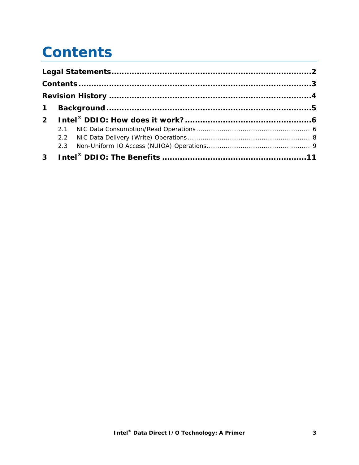# **Contents**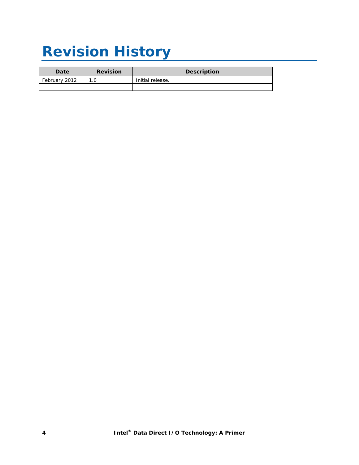# **Revision History**

| Date          | <b>Revision</b> | <b>Description</b> |
|---------------|-----------------|--------------------|
| February 2012 |                 | Initial release.   |
|               |                 |                    |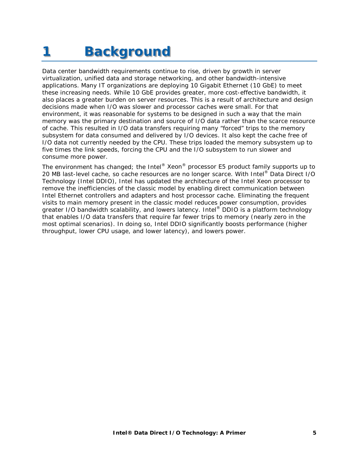# **1 Background**

Data center bandwidth requirements continue to rise, driven by growth in server virtualization, unified data and storage networking, and other bandwidth-intensive applications. Many IT organizations are deploying 10 Gigabit Ethernet (10 GbE) to meet these increasing needs. While 10 GbE provides greater, more cost-effective bandwidth, it also places a greater burden on server resources. This is a result of architecture and design decisions made when I/O was slower and processor caches were small. For that environment, it was reasonable for systems to be designed in such a way that the main memory was the primary destination and source of I/O data rather than the scarce resource of cache. This resulted in I/O data transfers requiring many "forced" trips to the memory subsystem for data consumed and delivered by I/O devices. It also kept the cache free of I/O data not currently needed by the CPU. These trips loaded the memory subsystem up to five times the link speeds, forcing the CPU and the I/O subsystem to run slower and consume more power.

The environment has changed; the Intel® Xeon® processor E5 product family supports up to 20 MB last-level cache, so cache resources are no longer scarce. With Intel® Data Direct I/O Technology (Intel DDIO), Intel has updated the architecture of the Intel Xeon processor to remove the inefficiencies of the classic model by enabling direct communication between Intel Ethernet controllers and adapters and host processor cache. Eliminating the frequent visits to main memory present in the classic model reduces power consumption, provides greater I/O bandwidth scalability, and lowers latency. Intel® DDIO is a platform technology that enables I/O data transfers that require far fewer trips to memory (nearly zero in the most optimal scenarios). In doing so, Intel DDIO significantly boosts performance (higher throughput, lower CPU usage, and lower latency), and lowers power.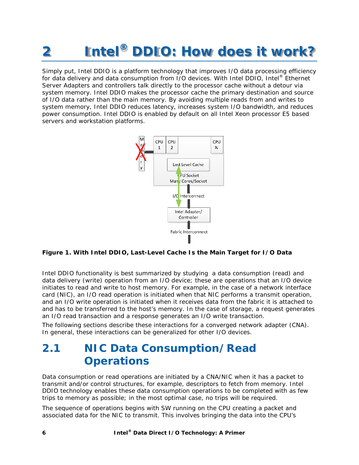# **2 Intel® DDIO: How does it work?**

Simply put, Intel DDIO is a platform technology that improves I/O data processing efficiency for data delivery and data consumption from I/O devices. With Intel DDIO, Intel<sup>®</sup> Ethernet Server Adapters and controllers talk directly to the processor cache without a detour via system memory. Intel DDIO makes the processor cache the primary destination and source of I/O data rather than the main memory. By avoiding multiple reads from and writes to system memory, Intel DDIO reduces latency, increases system I/O bandwidth, and reduces power consumption. Intel DDIO is enabled by default on all Intel Xeon processor E5 based servers and workstation platforms.



#### **Figure 1. With Intel DDIO, Last-Level Cache Is the Main Target for I/O Data**

Intel DDIO functionality is best summarized by studying a data consumption (read) and data delivery (write) operation from an I/O device; these are operations that an I/O device initiates to read and write to host memory. For example, in the case of a network interface card (NIC), an I/O read operation is initiated when that NIC performs a transmit operation, and an I/O write operation is initiated when it receives data from the fabric it is attached to and has to be transferred to the host's memory. In the case of storage, a request generates an I/O read transaction and a response generates an I/O write transaction.

The following sections describe these interactions for a converged network adapter (CNA). In general, these interactions can be generalized for other I/O devices.

### **2.1 NIC Data Consumption/Read Operations**

Data consumption or read operations are initiated by a CNA/NIC when it has a packet to transmit and/or control structures, for example, descriptors to fetch from memory. Intel DDIO technology enables these data consumption operations to be completed with as few trips to memory as possible; in the most optimal case, no trips will be required.

The sequence of operations begins with SW running on the CPU creating a packet and associated data for the NIC to transmit. This involves bringing the data into the CPU's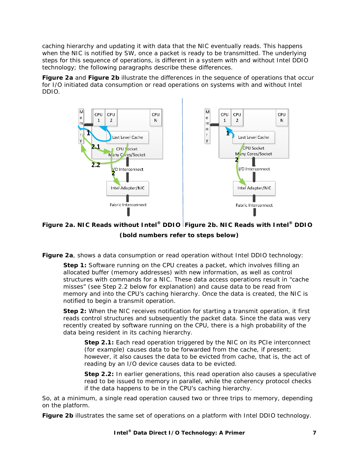caching hierarchy and updating it with data that the NIC eventually reads. This happens when the NIC is notified by SW, once a packet is ready to be transmitted. The underlying steps for this sequence of operations, is different in a system with and without Intel DDIO technology; the following paragraphs describe these differences.

**Figure 2a** and **Figure 2b** illustrate the differences in the sequence of operations that occur for I/O initiated data consumption or read operations on systems with and without Intel DDIO.



#### **Figure 2a. NIC Reads without Intel® DDIO Figure 2b. NIC Reads with Intel® DDIO (bold numbers refer to steps below)**

**Figure 2a**, shows a data consumption or read operation without Intel DDIO technology:

**Step 1:** Software running on the CPU creates a packet, which involves filling an allocated buffer (memory addresses) with new information, as well as control structures with commands for a NIC. These data access operations result in "cache misses" (see Step 2.2 below for explanation) and cause data to be read from memory and into the CPU's caching hierarchy. Once the data is created, the NIC is notified to begin a transmit operation.

**Step 2:** When the NIC receives notification for starting a transmit operation, it first reads control structures and subsequently the packet data. Since the data was very recently created by software running on the CPU, there is a high probability of the data being resident in its caching hierarchy.

**Step 2.1:** Each read operation triggered by the NIC on its PCIe interconnect (for example) causes data to be forwarded from the cache, if present; however, it also causes the data to be evicted from cache, that is, the act of reading by an I/O device causes data to be evicted.

**Step 2.2:** In earlier generations, this read operation also causes a speculative read to be issued to memory in parallel, while the coherency protocol checks if the data happens to be in the CPU's caching hierarchy.

So, at a minimum, a single read operation caused two or three trips to memory, depending on the platform.

**Figure 2b** illustrates the same set of operations on a platform with Intel DDIO technology.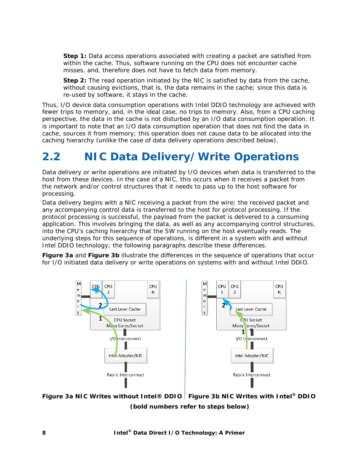**Step 1:** Data access operations associated with creating a packet are satisfied from within the cache. Thus, software running on the CPU does not encounter cache misses, and, therefore does not have to fetch data from memory.

**Step 2:** The read operation initiated by the NIC is satisfied by data from the cache, without causing evictions, that is, the data remains in the cache; since this data is re-used by software, it stays in the cache.

Thus, I/O device data consumption operations with Intel DDIO technology are achieved with fewer trips to memory, and, in the ideal case, no trips to memory. Also, from a CPU caching perspective, the data in the cache is not disturbed by an I/O data consumption operation. It is important to note that an I/O data consumption operation that does not find the data in cache, sources it from memory; this operation does not cause data to be allocated into the caching hierarchy (unlike the case of data delivery operations described below).

### **2.2 NIC Data Delivery/Write Operations**

Data delivery or write operations are initiated by I/O devices when data is transferred to the host from these devices. In the case of a NIC, this occurs when it receives a packet from the network and/or control structures that it needs to pass up to the host software for processing.

Data delivery begins with a NIC receiving a packet from the wire; the received packet and any accompanying control data is transferred to the host for protocol processing. If the protocol processing is successful, the payload from the packet is delivered to a consuming application. This involves bringing the data, as well as any accompanying control structures, into the CPU's caching hierarchy that the SW running on the host eventually reads. The underlying steps for this sequence of operations, is different in a system with and without Intel DDIO technology; the following paragraphs describe these differences.

**Figure 3a** and **Figure 3b** illustrate the differences in the sequence of operations that occur for I/O initiated data delivery or write operations on systems with and without Intel DDIO.



**Figure 3a NIC Writes without Intel® DDIO Figure 3b NIC Writes with Intel® DDIO (bold numbers refer to steps below)**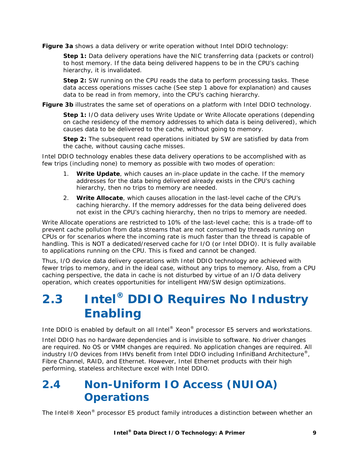**Figure 3a** shows a data delivery or write operation without Intel DDIO technology:

**Step 1:** Data delivery operations have the NIC transferring data (packets or control) to host memory. If the data being delivered happens to be in the CPU's caching hierarchy, it is invalidated.

**Step 2:** SW running on the CPU reads the data to perform processing tasks. These data access operations misses cache (See step 1 above for explanation) and causes data to be read in from memory, into the CPU's caching hierarchy.

**Figure 3b** illustrates the same set of operations on a platform with Intel DDIO technology.

**Step 1:** I/O data delivery uses Write Update or Write Allocate operations (depending on cache residency of the memory addresses to which data is being delivered), which causes data to be delivered to the cache, without going to memory.

**Step 2:** The subsequent read operations initiated by SW are satisfied by data from the cache, without causing cache misses.

Intel DDIO technology enables these data delivery operations to be accomplished with as few trips (including none) to memory as possible with two modes of operation:

- 1. *Write Update*, which causes an in-place update in the cache. If the memory addresses for the data being delivered already exists in the CPU's caching hierarchy, then no trips to memory are needed.
- 2. *Write Allocate*, which causes allocation in the last-level cache of the CPU's caching hierarchy. If the memory addresses for the data being delivered does not exist in the CPU's caching hierarchy, then no trips to memory are needed.

Write Allocate operations are restricted to 10% of the last-level cache; this is a trade-off to prevent cache pollution from data streams that are not consumed by threads running on CPUs or for scenarios where the incoming rate is much faster than the thread is capable of handling. This is NOT a dedicated/reserved cache for I/O (or Intel DDIO). It is fully available to applications running on the CPU. This is fixed and cannot be changed.

Thus, I/O device data delivery operations with Intel DDIO technology are achieved with fewer trips to memory, and in the ideal case, without any trips to memory. Also, from a CPU caching perspective, the data in cache is not disturbed by virtue of an I/O data delivery operation, which creates opportunities for intelligent HW/SW design optimizations.

### **2.3 Intel® DDIO Requires No Industry Enabling**

Inte DDIO is enabled by default on all Intel® Xeon® processor E5 servers and workstations.

Intel DDIO has no hardware dependencies and is invisible to software. No driver changes are required. No OS or VMM changes are required. No application changes are required. All industry I/O devices from IHVs benefit from Intel DDIO including InfiniBand Architecture<sup>®</sup>, Fibre Channel, RAID, and Ethernet. However, Intel Ethernet products with their high performing, stateless architecture excel with Intel DDIO.

### **2.4 Non-Uniform IO Access (NUIOA) Operations**

The Intel® Xeon® processor E5 product family introduces a distinction between whether an

#### **Intel® Data Direct I/O Technology: A Primer 9**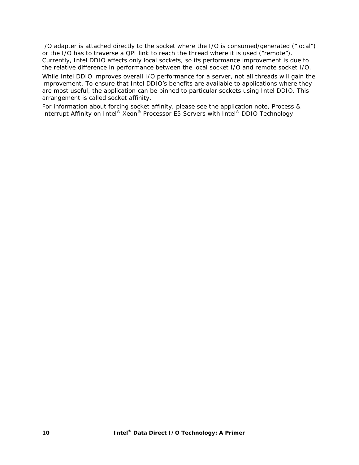I/O adapter is attached directly to the socket where the I/O is consumed/generated ("local") or the I/O has to traverse a QPI link to reach the thread where it is used ("remote"). Currently, Intel DDIO affects only local sockets, so its performance improvement is due to the relative difference in performance between the local socket I/O and remote socket I/O.

While Intel DDIO improves overall I/O performance for a server, not all threads will gain the improvement. To ensure that Intel DDIO's benefits are available to applications where they are most useful, the application can be pinned to particular sockets using Intel DDIO. This arrangement is called socket affinity.

For information about forcing socket affinity, please see the application note, *Process & Interrupt Affinity on Intel® Xeon® Processor E5 Servers with Intel® DDIO Technology.*